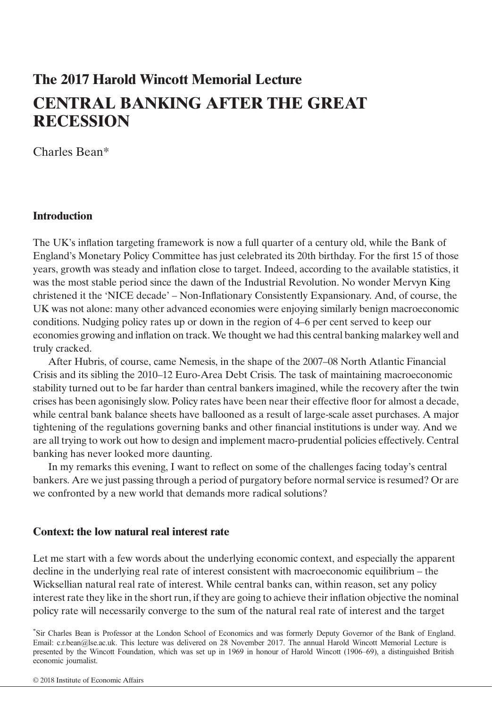# The 2017 Harold Wincott Memorial Lecture CENTRAL BANKING AFTER THE GREAT **RECESSION**

Charles Bean\*

## Introduction

The UK's inflation targeting framework is now a full quarter of a century old, while the Bank of England's Monetary Policy Committee has just celebrated its 20th birthday. For the first 15 of those years, growth was steady and inflation close to target. Indeed, according to the available statistics, it was the most stable period since the dawn of the Industrial Revolution. No wonder Mervyn King christened it the 'NICE decade' – Non-Inflationary Consistently Expansionary. And, of course, the UK was not alone: many other advanced economies were enjoying similarly benign macroeconomic conditions. Nudging policy rates up or down in the region of 4–6 per cent served to keep our economies growing and inflation on track. We thought we had this central banking malarkey well and truly cracked.

After Hubris, of course, came Nemesis, in the shape of the 2007–08 North Atlantic Financial Crisis and its sibling the 2010–12 Euro-Area Debt Crisis. The task of maintaining macroeconomic stability turned out to be far harder than central bankers imagined, while the recovery after the twin crises has been agonisingly slow. Policy rates have been near their effective floor for almost a decade, while central bank balance sheets have ballooned as a result of large-scale asset purchases. A major tightening of the regulations governing banks and other financial institutions is under way. And we are all trying to work out how to design and implement macro-prudential policies effectively. Central banking has never looked more daunting.

In my remarks this evening, I want to reflect on some of the challenges facing today's central bankers. Are we just passing through a period of purgatory before normal service is resumed? Or are we confronted by a new world that demands more radical solutions?

## Context: the low natural real interest rate

Let me start with a few words about the underlying economic context, and especially the apparent decline in the underlying real rate of interest consistent with macroeconomic equilibrium – the Wicksellian natural real rate of interest. While central banks can, within reason, set any policy interest rate they like in the short run, if they are going to achieve their inflation objective the nominal policy rate will necessarily converge to the sum of the natural real rate of interest and the target

<sup>\*</sup> Sir Charles Bean is Professor at the London School of Economics and was formerly Deputy Governor of the Bank of England. Email: c.r.bean@lse.ac.uk. This lecture was delivered on 28 November 2017. The annual Harold Wincott Memorial Lecture is presented by the Wincott Foundation, which was set up in 1969 in honour of Harold Wincott (1906–69), a distinguished British economic journalist.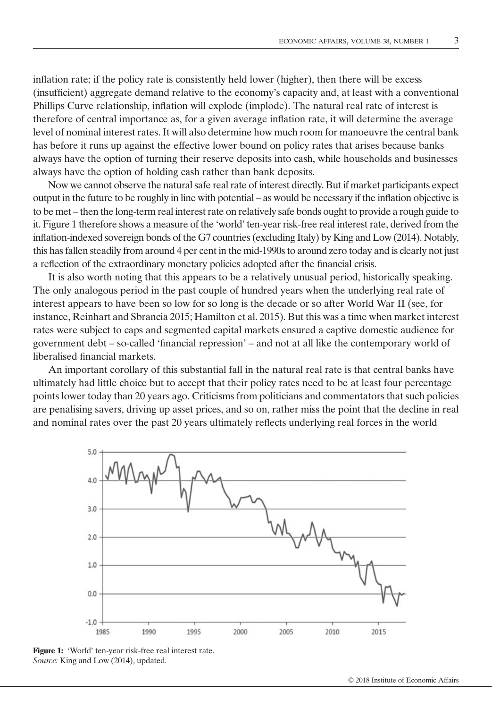inflation rate; if the policy rate is consistently held lower (higher), then there will be excess (insufficient) aggregate demand relative to the economy's capacity and, at least with a conventional Phillips Curve relationship, inflation will explode (implode). The natural real rate of interest is therefore of central importance as, for a given average inflation rate, it will determine the average level of nominal interest rates. It will also determine how much room for manoeuvre the central bank has before it runs up against the effective lower bound on policy rates that arises because banks always have the option of turning their reserve deposits into cash, while households and businesses always have the option of holding cash rather than bank deposits.

Now we cannot observe the natural safe real rate of interest directly. But if market participants expect output in the future to be roughly in line with potential – as would be necessary if the inflation objective is to be met – then the long-term real interest rate on relatively safe bonds ought to provide a rough guide to it. Figure 1 therefore shows a measure of the 'world' ten-year risk-free real interest rate, derived from the inflation-indexed sovereign bonds of the G7 countries (excluding Italy) by King and Low (2014). Notably, this has fallen steadily from around 4 per cent in the mid-1990s to around zero today and is clearly not just a reflection of the extraordinary monetary policies adopted after the financial crisis.

It is also worth noting that this appears to be a relatively unusual period, historically speaking. The only analogous period in the past couple of hundred years when the underlying real rate of interest appears to have been so low for so long is the decade or so after World War II (see, for instance, Reinhart and Sbrancia 2015; Hamilton et al. 2015). But this was a time when market interest rates were subject to caps and segmented capital markets ensured a captive domestic audience for government debt – so-called 'financial repression' – and not at all like the contemporary world of liberalised financial markets.

An important corollary of this substantial fall in the natural real rate is that central banks have ultimately had little choice but to accept that their policy rates need to be at least four percentage points lower today than 20 years ago. Criticisms from politicians and commentators that such policies are penalising savers, driving up asset prices, and so on, rather miss the point that the decline in real and nominal rates over the past 20 years ultimately reflects underlying real forces in the world



Figure 1: 'World' ten-year risk-free real interest rate. Source: King and Low (2014), updated.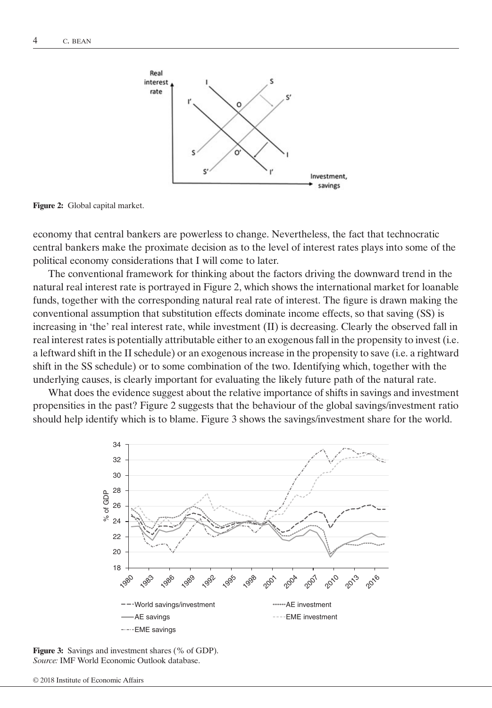

Figure 2: Global capital market.

economy that central bankers are powerless to change. Nevertheless, the fact that technocratic central bankers make the proximate decision as to the level of interest rates plays into some of the political economy considerations that I will come to later.

The conventional framework for thinking about the factors driving the downward trend in the natural real interest rate is portrayed in Figure 2, which shows the international market for loanable funds, together with the corresponding natural real rate of interest. The figure is drawn making the conventional assumption that substitution effects dominate income effects, so that saving (SS) is increasing in 'the' real interest rate, while investment (II) is decreasing. Clearly the observed fall in real interest rates is potentially attributable either to an exogenous fall in the propensity to invest (i.e. a leftward shift in the II schedule) or an exogenous increase in the propensity to save (i.e. a rightward shift in the SS schedule) or to some combination of the two. Identifying which, together with the underlying causes, is clearly important for evaluating the likely future path of the natural rate.

What does the evidence suggest about the relative importance of shifts in savings and investment propensities in the past? Figure 2 suggests that the behaviour of the global savings/investment ratio should help identify which is to blame. Figure 3 shows the savings/investment share for the world.



Figure 3: Savings and investment shares (% of GDP). Source: IMF World Economic Outlook database.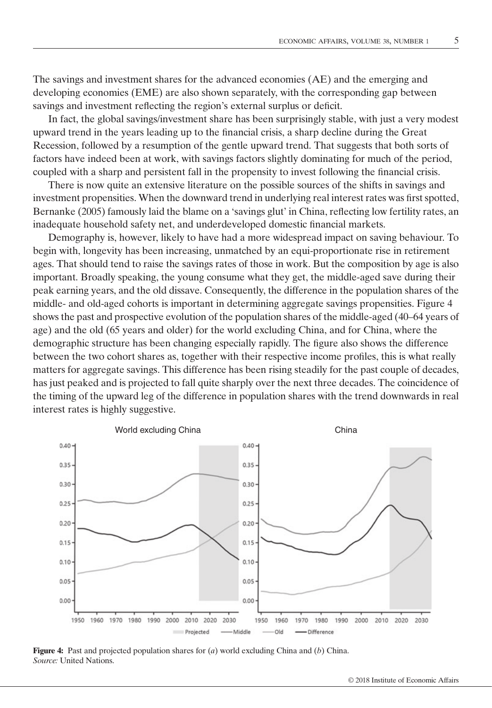The savings and investment shares for the advanced economies (AE) and the emerging and developing economies (EME) are also shown separately, with the corresponding gap between savings and investment reflecting the region's external surplus or deficit.

In fact, the global savings/investment share has been surprisingly stable, with just a very modest upward trend in the years leading up to the financial crisis, a sharp decline during the Great Recession, followed by a resumption of the gentle upward trend. That suggests that both sorts of factors have indeed been at work, with savings factors slightly dominating for much of the period, coupled with a sharp and persistent fall in the propensity to invest following the financial crisis.

There is now quite an extensive literature on the possible sources of the shifts in savings and investment propensities. When the downward trend in underlying real interest rates was first spotted, Bernanke (2005) famously laid the blame on a 'savings glut' in China, reflecting low fertility rates, an inadequate household safety net, and underdeveloped domestic financial markets.

Demography is, however, likely to have had a more widespread impact on saving behaviour. To begin with, longevity has been increasing, unmatched by an equi-proportionate rise in retirement ages. That should tend to raise the savings rates of those in work. But the composition by age is also important. Broadly speaking, the young consume what they get, the middle-aged save during their peak earning years, and the old dissave. Consequently, the difference in the population shares of the middle- and old-aged cohorts is important in determining aggregate savings propensities. Figure 4 shows the past and prospective evolution of the population shares of the middle-aged (40–64 years of age) and the old (65 years and older) for the world excluding China, and for China, where the demographic structure has been changing especially rapidly. The figure also shows the difference between the two cohort shares as, together with their respective income profiles, this is what really matters for aggregate savings. This difference has been rising steadily for the past couple of decades, has just peaked and is projected to fall quite sharply over the next three decades. The coincidence of the timing of the upward leg of the difference in population shares with the trend downwards in real interest rates is highly suggestive.



**Figure 4:** Past and projected population shares for  $(a)$  world excluding China and  $(b)$  China. Source: United Nations.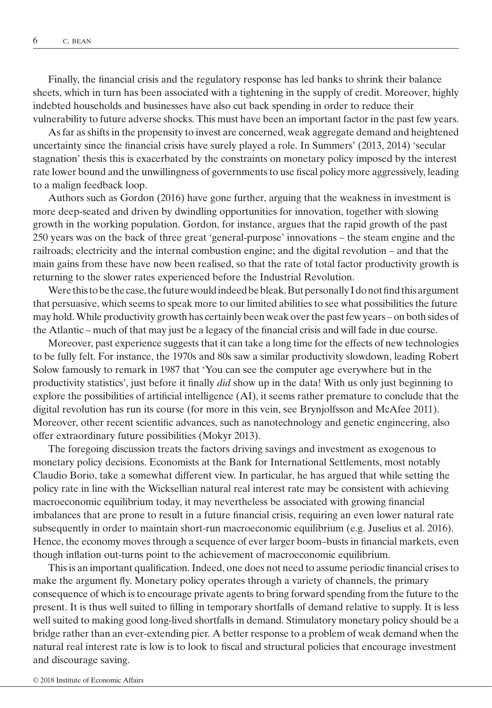Finally, the financial crisis and the regulatory response has led banks to shrink their balance sheets, which in turn has been associated with a tightening in the supply of credit. Moreover, highly indebted households and businesses have also cut back spending in order to reduce their vulnerability to future adverse shocks. This must have been an important factor in the past few years.

As far as shifts in the propensity to invest are concerned, weak aggregate demand and heightened uncertainty since the financial crisis have surely played a role. In Summers' (2013, 2014) 'secular stagnation' thesis this is exacerbated by the constraints on monetary policy imposed by the interest rate lower bound and the unwillingness of governments to use fiscal policy more aggressively, leading to a malign feedback loop.

Authors such as Gordon (2016) have gone further, arguing that the weakness in investment is more deep-seated and driven by dwindling opportunities for innovation, together with slowing growth in the working population. Gordon, for instance, argues that the rapid growth of the past 250 years was on the back of three great 'general-purpose' innovations – the steam engine and the railroads; electricity and the internal combustion engine; and the digital revolution – and that the main gains from these have now been realised, so that the rate of total factor productivity growth is returning to the slower rates experienced before the Industrial Revolution.

Were this to be the case, the future would indeed be bleak. But personally I do not find this argument that persuasive, which seems to speak more to our limited abilities to see what possibilities the future may hold.While productivity growth has certainly been weak over the past few years – on both sides of the Atlantic – much of that may just be a legacy of the financial crisis and will fade in due course.

Moreover, past experience suggests that it can take a long time for the effects of new technologies to be fully felt. For instance, the 1970s and 80s saw a similar productivity slowdown, leading Robert Solow famously to remark in 1987 that 'You can see the computer age everywhere but in the productivity statistics', just before it finally did show up in the data! With us only just beginning to explore the possibilities of artificial intelligence (AI), it seems rather premature to conclude that the digital revolution has run its course (for more in this vein, see Brynjolfsson and McAfee 2011). Moreover, other recent scientific advances, such as nanotechnology and genetic engineering, also offer extraordinary future possibilities (Mokyr 2013).

The foregoing discussion treats the factors driving savings and investment as exogenous to monetary policy decisions. Economists at the Bank for International Settlements, most notably Claudio Borio, take a somewhat different view. In particular, he has argued that while setting the policy rate in line with the Wicksellian natural real interest rate may be consistent with achieving macroeconomic equilibrium today, it may nevertheless be associated with growing financial imbalances that are prone to result in a future financial crisis, requiring an even lower natural rate subsequently in order to maintain short-run macroeconomic equilibrium (e.g. Juselius et al. 2016). Hence, the economy moves through a sequence of ever larger boom–busts in financial markets, even though inflation out-turns point to the achievement of macroeconomic equilibrium.

This is an important qualification. Indeed, one does not need to assume periodic financial crises to make the argument fly. Monetary policy operates through a variety of channels, the primary consequence of which is to encourage private agents to bring forward spending from the future to the present. It is thus well suited to filling in temporary shortfalls of demand relative to supply. It is less well suited to making good long-lived shortfalls in demand. Stimulatory monetary policy should be a bridge rather than an ever-extending pier. A better response to a problem of weak demand when the natural real interest rate is low is to look to fiscal and structural policies that encourage investment and discourage saving.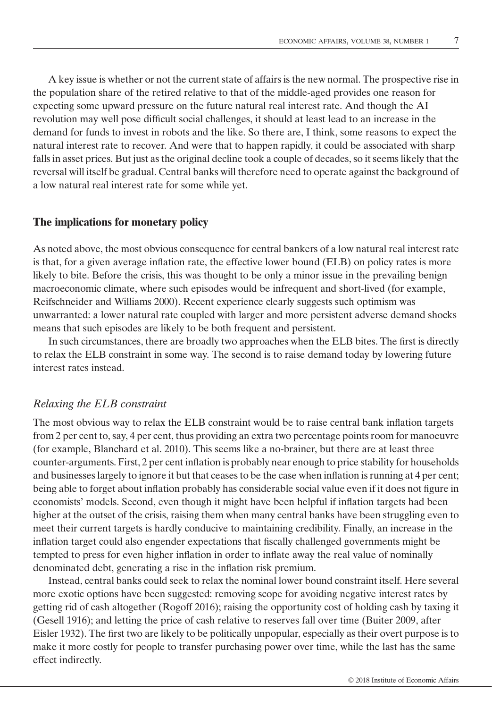A key issue is whether or not the current state of affairs is the new normal. The prospective rise in the population share of the retired relative to that of the middle-aged provides one reason for expecting some upward pressure on the future natural real interest rate. And though the AI revolution may well pose difficult social challenges, it should at least lead to an increase in the demand for funds to invest in robots and the like. So there are, I think, some reasons to expect the natural interest rate to recover. And were that to happen rapidly, it could be associated with sharp falls in asset prices. But just as the original decline took a couple of decades, so it seems likely that the reversal will itself be gradual. Central banks will therefore need to operate against the background of a low natural real interest rate for some while yet.

### The implications for monetary policy

As noted above, the most obvious consequence for central bankers of a low natural real interest rate is that, for a given average inflation rate, the effective lower bound (ELB) on policy rates is more likely to bite. Before the crisis, this was thought to be only a minor issue in the prevailing benign macroeconomic climate, where such episodes would be infrequent and short-lived (for example, Reifschneider and Williams 2000). Recent experience clearly suggests such optimism was unwarranted: a lower natural rate coupled with larger and more persistent adverse demand shocks means that such episodes are likely to be both frequent and persistent.

In such circumstances, there are broadly two approaches when the ELB bites. The first is directly to relax the ELB constraint in some way. The second is to raise demand today by lowering future interest rates instead.

## Relaxing the ELB constraint

The most obvious way to relax the ELB constraint would be to raise central bank inflation targets from 2 per cent to, say, 4 per cent, thus providing an extra two percentage points room for manoeuvre (for example, Blanchard et al. 2010). This seems like a no-brainer, but there are at least three counter-arguments. First, 2 per cent inflation is probably near enough to price stability for households and businesses largely to ignore it but that ceases to be the case when inflation is running at 4 per cent; being able to forget about inflation probably has considerable social value even if it does not figure in economists' models. Second, even though it might have been helpful if inflation targets had been higher at the outset of the crisis, raising them when many central banks have been struggling even to meet their current targets is hardly conducive to maintaining credibility. Finally, an increase in the inflation target could also engender expectations that fiscally challenged governments might be tempted to press for even higher inflation in order to inflate away the real value of nominally denominated debt, generating a rise in the inflation risk premium.

Instead, central banks could seek to relax the nominal lower bound constraint itself. Here several more exotic options have been suggested: removing scope for avoiding negative interest rates by getting rid of cash altogether (Rogoff 2016); raising the opportunity cost of holding cash by taxing it (Gesell 1916); and letting the price of cash relative to reserves fall over time (Buiter 2009, after Eisler 1932). The first two are likely to be politically unpopular, especially as their overt purpose is to make it more costly for people to transfer purchasing power over time, while the last has the same effect indirectly.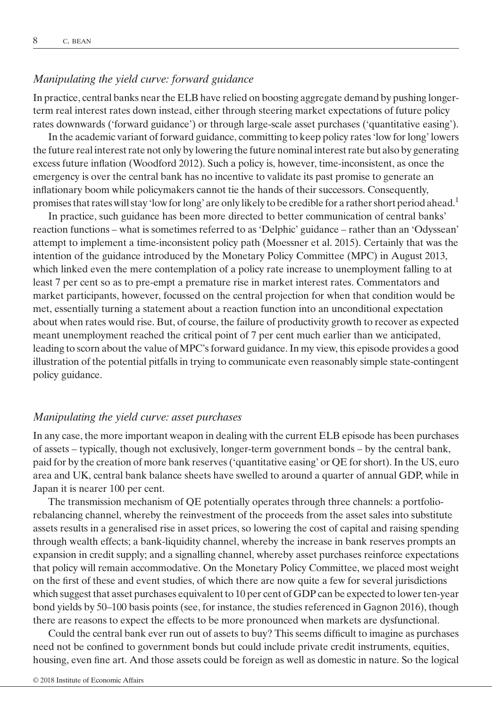#### Manipulating the yield curve: forward guidance

In practice, central banks near the ELB have relied on boosting aggregate demand by pushing longerterm real interest rates down instead, either through steering market expectations of future policy rates downwards ('forward guidance') or through large-scale asset purchases ('quantitative easing').

In the academic variant of forward guidance, committing to keep policy rates'low for long' lowers the future real interest rate not only by lowering the future nominal interest rate but also by generating excess future inflation (Woodford 2012). Such a policy is, however, time-inconsistent, as once the emergency is over the central bank has no incentive to validate its past promise to generate an inflationary boom while policymakers cannot tie the hands of their successors. Consequently, promises that rates will stay 'low for long' are only likely to be credible for a rather short period ahead.<sup>1</sup>

In practice, such guidance has been more directed to better communication of central banks' reaction functions – what is sometimes referred to as 'Delphic' guidance – rather than an 'Odyssean' attempt to implement a time-inconsistent policy path (Moessner et al. 2015). Certainly that was the intention of the guidance introduced by the Monetary Policy Committee (MPC) in August 2013, which linked even the mere contemplation of a policy rate increase to unemployment falling to at least 7 per cent so as to pre-empt a premature rise in market interest rates. Commentators and market participants, however, focussed on the central projection for when that condition would be met, essentially turning a statement about a reaction function into an unconditional expectation about when rates would rise. But, of course, the failure of productivity growth to recover as expected meant unemployment reached the critical point of 7 per cent much earlier than we anticipated, leading to scorn about the value of MPC's forward guidance. In my view, this episode provides a good illustration of the potential pitfalls in trying to communicate even reasonably simple state-contingent policy guidance.

#### Manipulating the yield curve: asset purchases

In any case, the more important weapon in dealing with the current ELB episode has been purchases of assets – typically, though not exclusively, longer-term government bonds – by the central bank, paid for by the creation of more bank reserves ('quantitative easing' or QE for short). In the US, euro area and UK, central bank balance sheets have swelled to around a quarter of annual GDP, while in Japan it is nearer 100 per cent.

The transmission mechanism of QE potentially operates through three channels: a portfoliorebalancing channel, whereby the reinvestment of the proceeds from the asset sales into substitute assets results in a generalised rise in asset prices, so lowering the cost of capital and raising spending through wealth effects; a bank-liquidity channel, whereby the increase in bank reserves prompts an expansion in credit supply; and a signalling channel, whereby asset purchases reinforce expectations that policy will remain accommodative. On the Monetary Policy Committee, we placed most weight on the first of these and event studies, of which there are now quite a few for several jurisdictions which suggest that asset purchases equivalent to 10 per cent of GDP can be expected to lower ten-year bond yields by 50–100 basis points (see, for instance, the studies referenced in Gagnon 2016), though there are reasons to expect the effects to be more pronounced when markets are dysfunctional.

Could the central bank ever run out of assets to buy? This seems difficult to imagine as purchases need not be confined to government bonds but could include private credit instruments, equities, housing, even fine art. And those assets could be foreign as well as domestic in nature. So the logical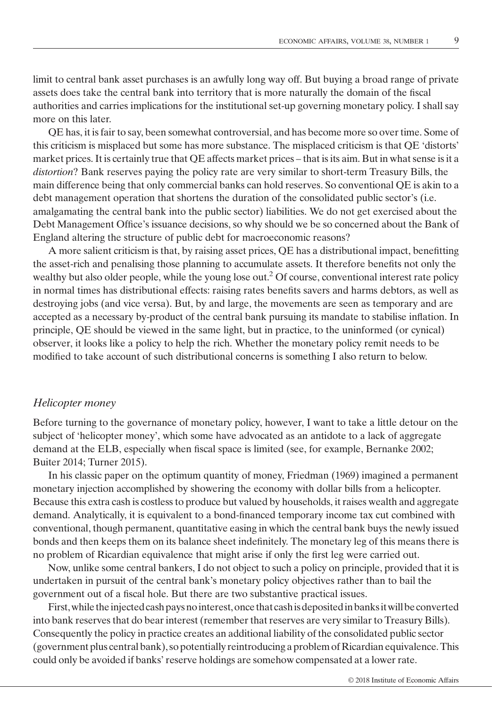limit to central bank asset purchases is an awfully long way off. But buying a broad range of private assets does take the central bank into territory that is more naturally the domain of the fiscal authorities and carries implications for the institutional set-up governing monetary policy. I shall say more on this later.

QE has, it is fair to say, been somewhat controversial, and has become more so over time. Some of this criticism is misplaced but some has more substance. The misplaced criticism is that QE 'distorts' market prices. It is certainly true that QE affects market prices – that is its aim. But in what sense is it a distortion? Bank reserves paying the policy rate are very similar to short-term Treasury Bills, the main difference being that only commercial banks can hold reserves. So conventional QE is akin to a debt management operation that shortens the duration of the consolidated public sector's (i.e. amalgamating the central bank into the public sector) liabilities. We do not get exercised about the Debt Management Office's issuance decisions, so why should we be so concerned about the Bank of England altering the structure of public debt for macroeconomic reasons?

A more salient criticism is that, by raising asset prices, QE has a distributional impact, benefitting the asset-rich and penalising those planning to accumulate assets. It therefore benefits not only the wealthy but also older people, while the young lose out.<sup>2</sup> Of course, conventional interest rate policy in normal times has distributional effects: raising rates benefits savers and harms debtors, as well as destroying jobs (and vice versa). But, by and large, the movements are seen as temporary and are accepted as a necessary by-product of the central bank pursuing its mandate to stabilise inflation. In principle, QE should be viewed in the same light, but in practice, to the uninformed (or cynical) observer, it looks like a policy to help the rich. Whether the monetary policy remit needs to be modified to take account of such distributional concerns is something I also return to below.

#### Helicopter money

Before turning to the governance of monetary policy, however, I want to take a little detour on the subject of 'helicopter money', which some have advocated as an antidote to a lack of aggregate demand at the ELB, especially when fiscal space is limited (see, for example, Bernanke 2002; Buiter 2014; Turner 2015).

In his classic paper on the optimum quantity of money, Friedman (1969) imagined a permanent monetary injection accomplished by showering the economy with dollar bills from a helicopter. Because this extra cash is costless to produce but valued by households, it raises wealth and aggregate demand. Analytically, it is equivalent to a bond-financed temporary income tax cut combined with conventional, though permanent, quantitative easing in which the central bank buys the newly issued bonds and then keeps them on its balance sheet indefinitely. The monetary leg of this means there is no problem of Ricardian equivalence that might arise if only the first leg were carried out.

Now, unlike some central bankers, I do not object to such a policy on principle, provided that it is undertaken in pursuit of the central bank's monetary policy objectives rather than to bail the government out of a fiscal hole. But there are two substantive practical issues.

First, while the injected cash pays no interest, once that cash is deposited in banks it will be converted into bank reserves that do bear interest (remember that reserves are very similar to Treasury Bills). Consequently the policy in practice creates an additional liability of the consolidated public sector (government plus central bank), so potentially reintroducing a problem of Ricardian equivalence. This could only be avoided if banks' reserve holdings are somehow compensated at a lower rate.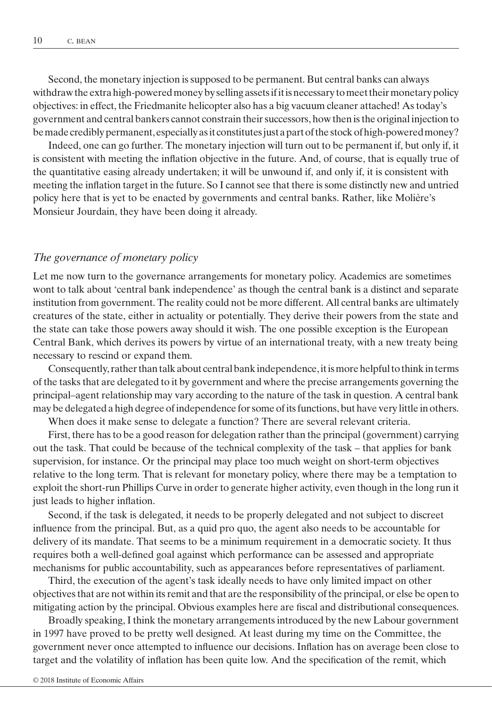Second, the monetary injection is supposed to be permanent. But central banks can always withdraw the extra high-powered money by selling assets if it is necessary to meet their monetary policy objectives: in effect, the Friedmanite helicopter also has a big vacuum cleaner attached! As today's government and central bankers cannot constrain their successors, how then is the original injection to bemade credibly permanent, especially asit constitutesjust a part of the stock of high-poweredmoney?

Indeed, one can go further. The monetary injection will turn out to be permanent if, but only if, it is consistent with meeting the inflation objective in the future. And, of course, that is equally true of the quantitative easing already undertaken; it will be unwound if, and only if, it is consistent with meeting the inflation target in the future. So I cannot see that there is some distinctly new and untried policy here that is yet to be enacted by governments and central banks. Rather, like Molière's Monsieur Jourdain, they have been doing it already.

#### The governance of monetary policy

Let me now turn to the governance arrangements for monetary policy. Academics are sometimes wont to talk about 'central bank independence' as though the central bank is a distinct and separate institution from government. The reality could not be more different. All central banks are ultimately creatures of the state, either in actuality or potentially. They derive their powers from the state and the state can take those powers away should it wish. The one possible exception is the European Central Bank, which derives its powers by virtue of an international treaty, with a new treaty being necessary to rescind or expand them.

Consequently, rather than talk about central bank independence, it is more helpful to think in terms of the tasks that are delegated to it by government and where the precise arrangements governing the principal–agent relationship may vary according to the nature of the task in question. A central bank may be delegated a high degree of independence for some of its functions, but have very little in others. When does it make sense to delegate a function? There are several relevant criteria.

First, there has to be a good reason for delegation rather than the principal (government) carrying out the task. That could be because of the technical complexity of the task – that applies for bank supervision, for instance. Or the principal may place too much weight on short-term objectives relative to the long term. That is relevant for monetary policy, where there may be a temptation to exploit the short-run Phillips Curve in order to generate higher activity, even though in the long run it just leads to higher inflation.

Second, if the task is delegated, it needs to be properly delegated and not subject to discreet influence from the principal. But, as a quid pro quo, the agent also needs to be accountable for delivery of its mandate. That seems to be a minimum requirement in a democratic society. It thus requires both a well-defined goal against which performance can be assessed and appropriate mechanisms for public accountability, such as appearances before representatives of parliament.

Third, the execution of the agent's task ideally needs to have only limited impact on other objectives that are not within its remit and that are the responsibility of the principal, or else be open to mitigating action by the principal. Obvious examples here are fiscal and distributional consequences.

Broadly speaking, I think the monetary arrangements introduced by the new Labour government in 1997 have proved to be pretty well designed. At least during my time on the Committee, the government never once attempted to influence our decisions. Inflation has on average been close to target and the volatility of inflation has been quite low. And the specification of the remit, which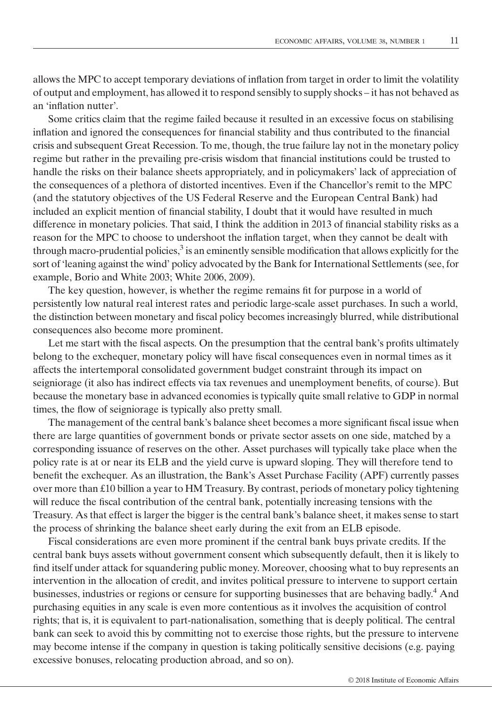allows the MPC to accept temporary deviations of inflation from target in order to limit the volatility of output and employment, has allowed it to respond sensibly to supply shocks – it has not behaved as an 'inflation nutter'.

Some critics claim that the regime failed because it resulted in an excessive focus on stabilising inflation and ignored the consequences for financial stability and thus contributed to the financial crisis and subsequent Great Recession. To me, though, the true failure lay not in the monetary policy regime but rather in the prevailing pre-crisis wisdom that financial institutions could be trusted to handle the risks on their balance sheets appropriately, and in policymakers' lack of appreciation of the consequences of a plethora of distorted incentives. Even if the Chancellor's remit to the MPC (and the statutory objectives of the US Federal Reserve and the European Central Bank) had included an explicit mention of financial stability, I doubt that it would have resulted in much difference in monetary policies. That said, I think the addition in 2013 of financial stability risks as a reason for the MPC to choose to undershoot the inflation target, when they cannot be dealt with through macro-prudential policies, $3$  is an eminently sensible modification that allows explicitly for the sort of 'leaning against the wind' policy advocated by the Bank for International Settlements (see, for example, Borio and White 2003; White 2006, 2009).

The key question, however, is whether the regime remains fit for purpose in a world of persistently low natural real interest rates and periodic large-scale asset purchases. In such a world, the distinction between monetary and fiscal policy becomes increasingly blurred, while distributional consequences also become more prominent.

Let me start with the fiscal aspects. On the presumption that the central bank's profits ultimately belong to the exchequer, monetary policy will have fiscal consequences even in normal times as it affects the intertemporal consolidated government budget constraint through its impact on seigniorage (it also has indirect effects via tax revenues and unemployment benefits, of course). But because the monetary base in advanced economies is typically quite small relative to GDP in normal times, the flow of seigniorage is typically also pretty small.

The management of the central bank's balance sheet becomes a more significant fiscal issue when there are large quantities of government bonds or private sector assets on one side, matched by a corresponding issuance of reserves on the other. Asset purchases will typically take place when the policy rate is at or near its ELB and the yield curve is upward sloping. They will therefore tend to benefit the exchequer. As an illustration, the Bank's Asset Purchase Facility (APF) currently passes over more than £10 billion a year to HM Treasury. By contrast, periods of monetary policy tightening will reduce the fiscal contribution of the central bank, potentially increasing tensions with the Treasury. As that effect is larger the bigger is the central bank's balance sheet, it makes sense to start the process of shrinking the balance sheet early during the exit from an ELB episode.

Fiscal considerations are even more prominent if the central bank buys private credits. If the central bank buys assets without government consent which subsequently default, then it is likely to find itself under attack for squandering public money. Moreover, choosing what to buy represents an intervention in the allocation of credit, and invites political pressure to intervene to support certain businesses, industries or regions or censure for supporting businesses that are behaving badly.4 And purchasing equities in any scale is even more contentious as it involves the acquisition of control rights; that is, it is equivalent to part-nationalisation, something that is deeply political. The central bank can seek to avoid this by committing not to exercise those rights, but the pressure to intervene may become intense if the company in question is taking politically sensitive decisions (e.g. paying excessive bonuses, relocating production abroad, and so on).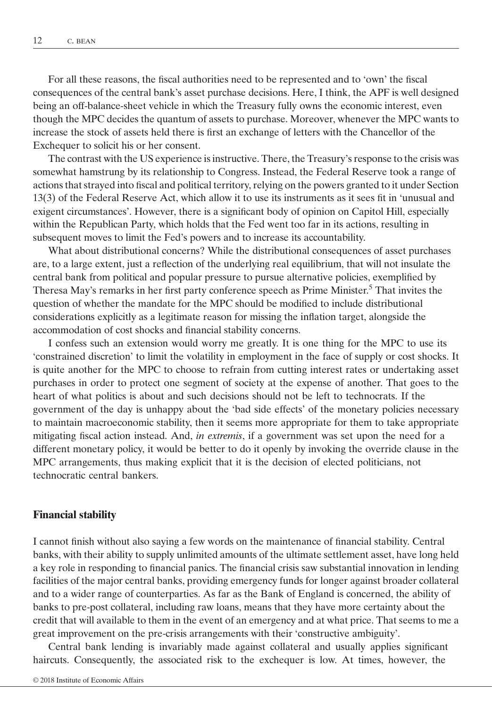For all these reasons, the fiscal authorities need to be represented and to 'own' the fiscal consequences of the central bank's asset purchase decisions. Here, I think, the APF is well designed being an off-balance-sheet vehicle in which the Treasury fully owns the economic interest, even though the MPC decides the quantum of assets to purchase. Moreover, whenever the MPC wants to increase the stock of assets held there is first an exchange of letters with the Chancellor of the Exchequer to solicit his or her consent.

The contrast with the US experience is instructive. There, the Treasury's response to the crisis was somewhat hamstrung by its relationship to Congress. Instead, the Federal Reserve took a range of actions that strayed into fiscal and political territory, relying on the powers granted to it under Section 13(3) of the Federal Reserve Act, which allow it to use its instruments as it sees fit in 'unusual and exigent circumstances'. However, there is a significant body of opinion on Capitol Hill, especially within the Republican Party, which holds that the Fed went too far in its actions, resulting in subsequent moves to limit the Fed's powers and to increase its accountability.

What about distributional concerns? While the distributional consequences of asset purchases are, to a large extent, just a reflection of the underlying real equilibrium, that will not insulate the central bank from political and popular pressure to pursue alternative policies, exemplified by Theresa May's remarks in her first party conference speech as Prime Minister.<sup>5</sup> That invites the question of whether the mandate for the MPC should be modified to include distributional considerations explicitly as a legitimate reason for missing the inflation target, alongside the accommodation of cost shocks and financial stability concerns.

I confess such an extension would worry me greatly. It is one thing for the MPC to use its 'constrained discretion' to limit the volatility in employment in the face of supply or cost shocks. It is quite another for the MPC to choose to refrain from cutting interest rates or undertaking asset purchases in order to protect one segment of society at the expense of another. That goes to the heart of what politics is about and such decisions should not be left to technocrats. If the government of the day is unhappy about the 'bad side effects' of the monetary policies necessary to maintain macroeconomic stability, then it seems more appropriate for them to take appropriate mitigating fiscal action instead. And, in extremis, if a government was set upon the need for a different monetary policy, it would be better to do it openly by invoking the override clause in the MPC arrangements, thus making explicit that it is the decision of elected politicians, not technocratic central bankers.

#### Financial stability

I cannot finish without also saying a few words on the maintenance of financial stability. Central banks, with their ability to supply unlimited amounts of the ultimate settlement asset, have long held a key role in responding to financial panics. The financial crisis saw substantial innovation in lending facilities of the major central banks, providing emergency funds for longer against broader collateral and to a wider range of counterparties. As far as the Bank of England is concerned, the ability of banks to pre-post collateral, including raw loans, means that they have more certainty about the credit that will available to them in the event of an emergency and at what price. That seems to me a great improvement on the pre-crisis arrangements with their 'constructive ambiguity'.

Central bank lending is invariably made against collateral and usually applies significant haircuts. Consequently, the associated risk to the exchequer is low. At times, however, the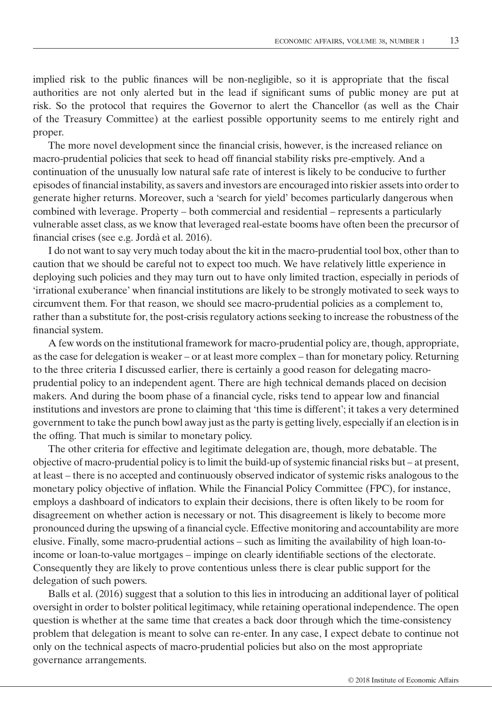implied risk to the public finances will be non-negligible, so it is appropriate that the fiscal authorities are not only alerted but in the lead if significant sums of public money are put at risk. So the protocol that requires the Governor to alert the Chancellor (as well as the Chair of the Treasury Committee) at the earliest possible opportunity seems to me entirely right and proper.

The more novel development since the financial crisis, however, is the increased reliance on macro-prudential policies that seek to head off financial stability risks pre-emptively. And a continuation of the unusually low natural safe rate of interest is likely to be conducive to further episodes of financial instability, as savers and investors are encouraged into riskier assets into order to generate higher returns. Moreover, such a 'search for yield' becomes particularly dangerous when combined with leverage. Property – both commercial and residential – represents a particularly vulnerable asset class, as we know that leveraged real-estate booms have often been the precursor of financial crises (see e.g. Jordà et al. 2016).

I do not want to say very much today about the kit in the macro-prudential tool box, other than to caution that we should be careful not to expect too much. We have relatively little experience in deploying such policies and they may turn out to have only limited traction, especially in periods of 'irrational exuberance' when financial institutions are likely to be strongly motivated to seek ways to circumvent them. For that reason, we should see macro-prudential policies as a complement to, rather than a substitute for, the post-crisis regulatory actions seeking to increase the robustness of the financial system.

A few words on the institutional framework for macro-prudential policy are, though, appropriate, as the case for delegation is weaker – or at least more complex – than for monetary policy. Returning to the three criteria I discussed earlier, there is certainly a good reason for delegating macroprudential policy to an independent agent. There are high technical demands placed on decision makers. And during the boom phase of a financial cycle, risks tend to appear low and financial institutions and investors are prone to claiming that 'this time is different'; it takes a very determined government to take the punch bowl away just as the party is getting lively, especially if an election is in the offing. That much is similar to monetary policy.

The other criteria for effective and legitimate delegation are, though, more debatable. The objective of macro-prudential policy is to limit the build-up of systemic financial risks but – at present, at least – there is no accepted and continuously observed indicator of systemic risks analogous to the monetary policy objective of inflation. While the Financial Policy Committee (FPC), for instance, employs a dashboard of indicators to explain their decisions, there is often likely to be room for disagreement on whether action is necessary or not. This disagreement is likely to become more pronounced during the upswing of a financial cycle. Effective monitoring and accountability are more elusive. Finally, some macro-prudential actions – such as limiting the availability of high loan-toincome or loan-to-value mortgages – impinge on clearly identifiable sections of the electorate. Consequently they are likely to prove contentious unless there is clear public support for the delegation of such powers.

Balls et al. (2016) suggest that a solution to this lies in introducing an additional layer of political oversight in order to bolster political legitimacy, while retaining operational independence. The open question is whether at the same time that creates a back door through which the time-consistency problem that delegation is meant to solve can re-enter. In any case, I expect debate to continue not only on the technical aspects of macro-prudential policies but also on the most appropriate governance arrangements.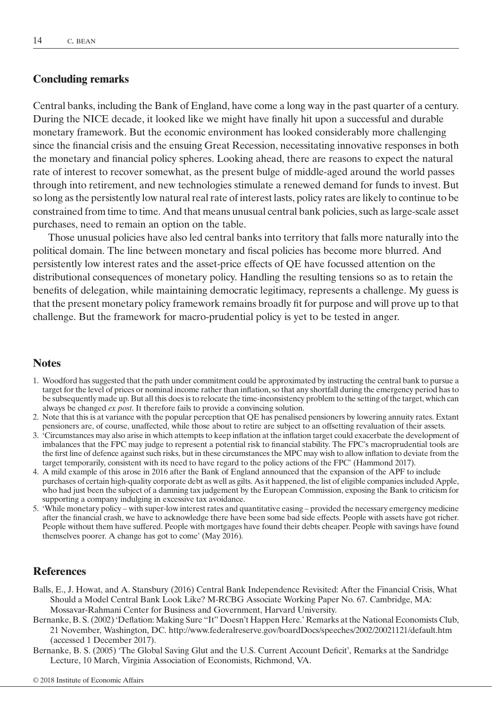#### Concluding remarks

Central banks, including the Bank of England, have come a long way in the past quarter of a century. During the NICE decade, it looked like we might have finally hit upon a successful and durable monetary framework. But the economic environment has looked considerably more challenging since the financial crisis and the ensuing Great Recession, necessitating innovative responses in both the monetary and financial policy spheres. Looking ahead, there are reasons to expect the natural rate of interest to recover somewhat, as the present bulge of middle-aged around the world passes through into retirement, and new technologies stimulate a renewed demand for funds to invest. But so long as the persistently low natural real rate of interest lasts, policy rates are likely to continue to be constrained from time to time. And that means unusual central bank policies, such as large-scale asset purchases, need to remain an option on the table.

Those unusual policies have also led central banks into territory that falls more naturally into the political domain. The line between monetary and fiscal policies has become more blurred. And persistently low interest rates and the asset-price effects of QE have focussed attention on the distributional consequences of monetary policy. Handling the resulting tensions so as to retain the benefits of delegation, while maintaining democratic legitimacy, represents a challenge. My guess is that the present monetary policy framework remains broadly fit for purpose and will prove up to that challenge. But the framework for macro-prudential policy is yet to be tested in anger.

#### **Notes**

- 1. Woodford has suggested that the path under commitment could be approximated by instructing the central bank to pursue a target for the level of prices or nominal income rather than inflation, so that any shortfall during the emergency period has to be subsequently made up. But all this does is to relocate the time-inconsistency problem to the setting of the target, which can always be changed ex post. It therefore fails to provide a convincing solution.
- 2. Note that this is at variance with the popular perception that QE has penalised pensioners by lowering annuity rates. Extant pensioners are, of course, unaffected, while those about to retire are subject to an offsetting revaluation of their assets.
- 3. 'Circumstances may also arise in which attempts to keep inflation at the inflation target could exacerbate the development of imbalances that the FPC may judge to represent a potential risk to financial stability. The FPC's macroprudential tools are the first line of defence against such risks, but in these circumstances the MPC may wish to allow inflation to deviate from the target temporarily, consistent with its need to have regard to the policy actions of the FPC' (Hammond 2017).
- 4. A mild example of this arose in 2016 after the Bank of England announced that the expansion of the APF to include purchases of certain high-quality corporate debt as well as gilts. As it happened, the list of eligible companies included Apple, who had just been the subject of a damning tax judgement by the European Commission, exposing the Bank to criticism for supporting a company indulging in excessive tax avoidance.
- 5. 'While monetary policy with super-low interest rates and quantitative easing provided the necessary emergency medicine after the financial crash, we have to acknowledge there have been some bad side effects. People with assets have got richer. People without them have suffered. People with mortgages have found their debts cheaper. People with savings have found themselves poorer. A change has got to come' (May 2016).

### References

- Balls, E., J. Howat, and A. Stansbury (2016) Central Bank Independence Revisited: After the Financial Crisis, What Should a Model Central Bank Look Like? M-RCBG Associate Working Paper No. 67. Cambridge, MA: Mossavar-Rahmani Center for Business and Government, Harvard University.
- Bernanke, B. S. (2002)'Deflation: Making Sure "It" Doesn't Happen Here.' Remarks at the National Economists Club, 21 November, Washington, DC.<http://www.federalreserve.gov/boardDocs/speeches/2002/20021121/default.htm> (accessed 1 December 2017).
- Bernanke, B. S. (2005) 'The Global Saving Glut and the U.S. Current Account Deficit', Remarks at the Sandridge Lecture, 10 March, Virginia Association of Economists, Richmond, VA.